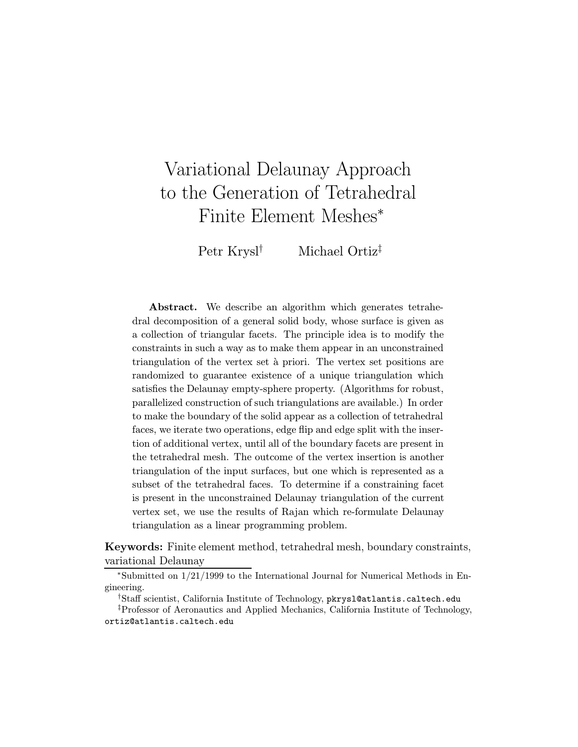# Variational Delaunay Approach to the Generation of Tetrahedral Finite Element Meshes<sup>∗</sup>

Petr Krysl† Michael Ortiz‡

Abstract. We describe an algorithm which generates tetrahedral decomposition of a general solid body, whose surface is given as a collection of triangular facets. The principle idea is to modify the constraints in such a way as to make them appear in an unconstrained triangulation of the vertex set à priori. The vertex set positions are randomized to guarantee existence of a unique triangulation which satisfies the Delaunay empty-sphere property. (Algorithms for robust, parallelized construction of such triangulations are available.) In order to make the boundary of the solid appear as a collection of tetrahedral faces, we iterate two operations, edge flip and edge split with the insertion of additional vertex, until all of the boundary facets are present in the tetrahedral mesh. The outcome of the vertex insertion is another triangulation of the input surfaces, but one which is represented as a subset of the tetrahedral faces. To determine if a constraining facet is present in the unconstrained Delaunay triangulation of the current vertex set, we use the results of Rajan which re-formulate Delaunay triangulation as a linear programming problem.

Keywords: Finite element method, tetrahedral mesh, boundary constraints, variational Delaunay

<sup>∗</sup>Submitted on 1/21/1999 to the International Journal for Numerical Methods in Engineering.

<sup>†</sup>Staff scientist, California Institute of Technology, pkrysl@atlantis.caltech.edu

<sup>‡</sup>Professor of Aeronautics and Applied Mechanics, California Institute of Technology, ortiz@atlantis.caltech.edu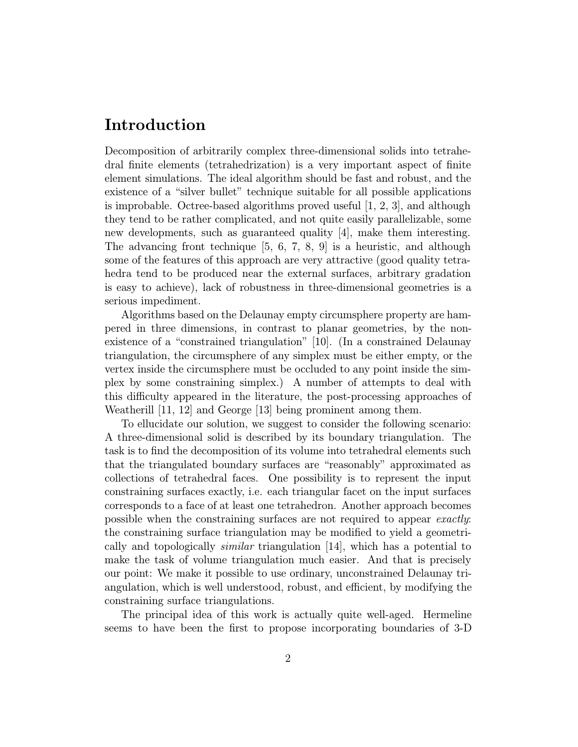# Introduction

Decomposition of arbitrarily complex three-dimensional solids into tetrahedral finite elements (tetrahedrization) is a very important aspect of finite element simulations. The ideal algorithm should be fast and robust, and the existence of a "silver bullet" technique suitable for all possible applications is improbable. Octree-based algorithms proved useful [1, 2, 3], and although they tend to be rather complicated, and not quite easily parallelizable, some new developments, such as guaranteed quality [4], make them interesting. The advancing front technique  $[5, 6, 7, 8, 9]$  is a heuristic, and although some of the features of this approach are very attractive (good quality tetrahedra tend to be produced near the external surfaces, arbitrary gradation is easy to achieve), lack of robustness in three-dimensional geometries is a serious impediment.

Algorithms based on the Delaunay empty circumsphere property are hampered in three dimensions, in contrast to planar geometries, by the nonexistence of a "constrained triangulation" [10]. (In a constrained Delaunay triangulation, the circumsphere of any simplex must be either empty, or the vertex inside the circumsphere must be occluded to any point inside the simplex by some constraining simplex.) A number of attempts to deal with this difficulty appeared in the literature, the post-processing approaches of Weatherill [11, 12] and George [13] being prominent among them.

To ellucidate our solution, we suggest to consider the following scenario: A three-dimensional solid is described by its boundary triangulation. The task is to find the decomposition of its volume into tetrahedral elements such that the triangulated boundary surfaces are "reasonably" approximated as collections of tetrahedral faces. One possibility is to represent the input constraining surfaces exactly, i.e. each triangular facet on the input surfaces corresponds to a face of at least one tetrahedron. Another approach becomes possible when the constraining surfaces are not required to appear exactly: the constraining surface triangulation may be modified to yield a geometrically and topologically similar triangulation [14], which has a potential to make the task of volume triangulation much easier. And that is precisely our point: We make it possible to use ordinary, unconstrained Delaunay triangulation, which is well understood, robust, and efficient, by modifying the constraining surface triangulations.

The principal idea of this work is actually quite well-aged. Hermeline seems to have been the first to propose incorporating boundaries of 3-D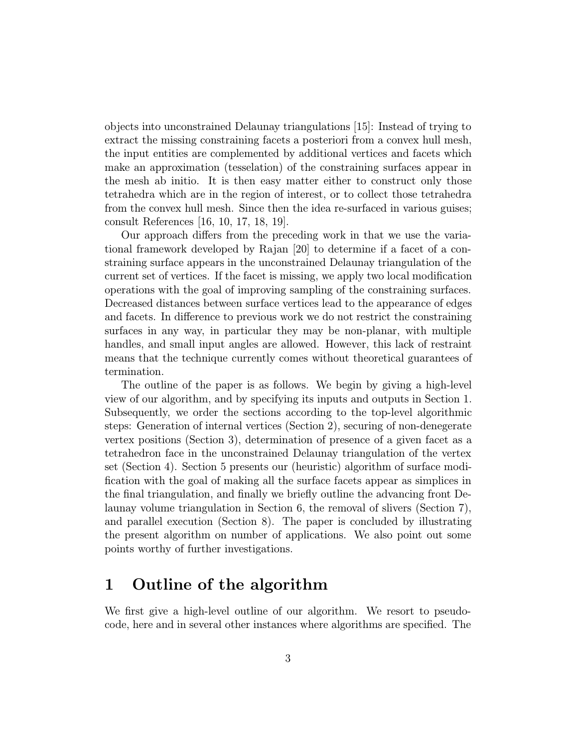objects into unconstrained Delaunay triangulations [15]: Instead of trying to extract the missing constraining facets a posteriori from a convex hull mesh, the input entities are complemented by additional vertices and facets which make an approximation (tesselation) of the constraining surfaces appear in the mesh ab initio. It is then easy matter either to construct only those tetrahedra which are in the region of interest, or to collect those tetrahedra from the convex hull mesh. Since then the idea re-surfaced in various guises; consult References [16, 10, 17, 18, 19].

Our approach differs from the preceding work in that we use the variational framework developed by Rajan [20] to determine if a facet of a constraining surface appears in the unconstrained Delaunay triangulation of the current set of vertices. If the facet is missing, we apply two local modification operations with the goal of improving sampling of the constraining surfaces. Decreased distances between surface vertices lead to the appearance of edges and facets. In difference to previous work we do not restrict the constraining surfaces in any way, in particular they may be non-planar, with multiple handles, and small input angles are allowed. However, this lack of restraint means that the technique currently comes without theoretical guarantees of termination.

The outline of the paper is as follows. We begin by giving a high-level view of our algorithm, and by specifying its inputs and outputs in Section 1. Subsequently, we order the sections according to the top-level algorithmic steps: Generation of internal vertices (Section 2), securing of non-denegerate vertex positions (Section 3), determination of presence of a given facet as a tetrahedron face in the unconstrained Delaunay triangulation of the vertex set (Section 4). Section 5 presents our (heuristic) algorithm of surface modification with the goal of making all the surface facets appear as simplices in the final triangulation, and finally we briefly outline the advancing front Delaunay volume triangulation in Section 6, the removal of slivers (Section 7), and parallel execution (Section 8). The paper is concluded by illustrating the present algorithm on number of applications. We also point out some points worthy of further investigations.

### 1 Outline of the algorithm

We first give a high-level outline of our algorithm. We resort to pseudocode, here and in several other instances where algorithms are specified. The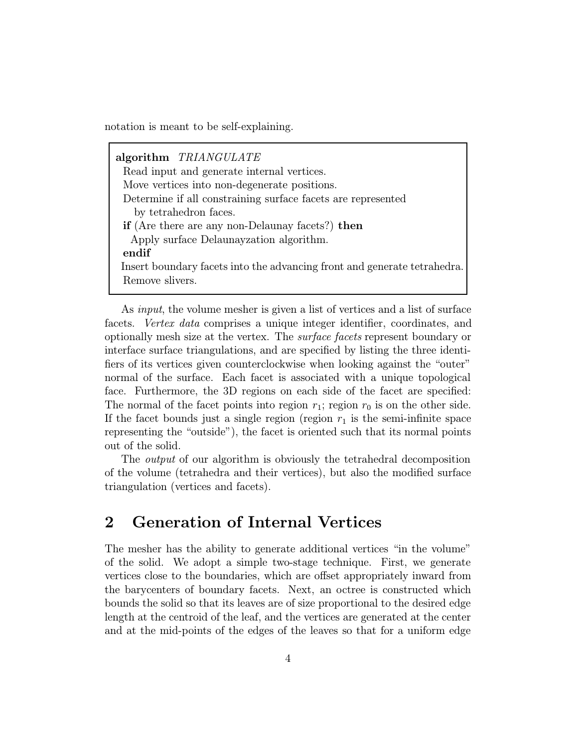notation is meant to be self-explaining.

algorithm TRIANGULATE Read input and generate internal vertices. Move vertices into non-degenerate positions. Determine if all constraining surface facets are represented by tetrahedron faces. if (Are there are any non-Delaunay facets?) then Apply surface Delaunayzation algorithm. endif Insert boundary facets into the advancing front and generate tetrahedra. Remove slivers.

As *input*, the volume mesher is given a list of vertices and a list of surface facets. Vertex data comprises a unique integer identifier, coordinates, and optionally mesh size at the vertex. The surface facets represent boundary or interface surface triangulations, and are specified by listing the three identifiers of its vertices given counterclockwise when looking against the "outer" normal of the surface. Each facet is associated with a unique topological face. Furthermore, the 3D regions on each side of the facet are specified: The normal of the facet points into region  $r_1$ ; region  $r_0$  is on the other side. If the facet bounds just a single region (region  $r_1$  is the semi-infinite space representing the "outside"), the facet is oriented such that its normal points out of the solid.

The *output* of our algorithm is obviously the tetrahedral decomposition of the volume (tetrahedra and their vertices), but also the modified surface triangulation (vertices and facets).

# 2 Generation of Internal Vertices

The mesher has the ability to generate additional vertices "in the volume" of the solid. We adopt a simple two-stage technique. First, we generate vertices close to the boundaries, which are offset appropriately inward from the barycenters of boundary facets. Next, an octree is constructed which bounds the solid so that its leaves are of size proportional to the desired edge length at the centroid of the leaf, and the vertices are generated at the center and at the mid-points of the edges of the leaves so that for a uniform edge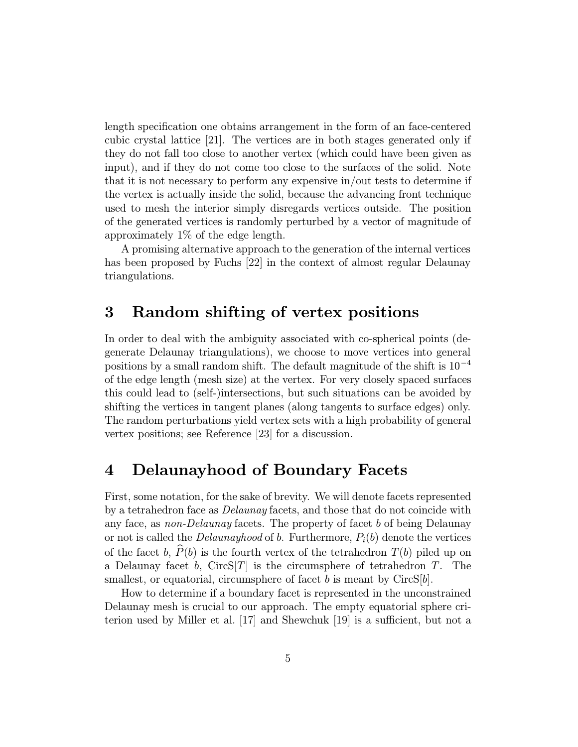length specification one obtains arrangement in the form of an face-centered cubic crystal lattice [21]. The vertices are in both stages generated only if they do not fall too close to another vertex (which could have been given as input), and if they do not come too close to the surfaces of the solid. Note that it is not necessary to perform any expensive in/out tests to determine if the vertex is actually inside the solid, because the advancing front technique used to mesh the interior simply disregards vertices outside. The position of the generated vertices is randomly perturbed by a vector of magnitude of approximately 1% of the edge length.

A promising alternative approach to the generation of the internal vertices has been proposed by Fuchs [22] in the context of almost regular Delaunay triangulations.

### 3 Random shifting of vertex positions

In order to deal with the ambiguity associated with co-spherical points (degenerate Delaunay triangulations), we choose to move vertices into general positions by a small random shift. The default magnitude of the shift is  $10^{-4}$ of the edge length (mesh size) at the vertex. For very closely spaced surfaces this could lead to (self-)intersections, but such situations can be avoided by shifting the vertices in tangent planes (along tangents to surface edges) only. The random perturbations yield vertex sets with a high probability of general vertex positions; see Reference [23] for a discussion.

### 4 Delaunayhood of Boundary Facets

First, some notation, for the sake of brevity. We will denote facets represented by a tetrahedron face as Delaunay facets, and those that do not coincide with any face, as non-Delaunay facets. The property of facet b of being Delaunay or not is called the *Delaunayhood* of b. Furthermore,  $P_i(b)$  denote the vertices of the facet b,  $\widehat{P}(b)$  is the fourth vertex of the tetrahedron  $T(b)$  piled up on<br>a Delaunay facet b, CircS[T] is the circumsphere of tetrahedron T. The a Delaunay facet b, CircS[T] is the circumsphere of tetrahedron  $T$ . smallest, or equatorial, circumsphere of facet b is meant by  $CircS[b]$ .

How to determine if a boundary facet is represented in the unconstrained Delaunay mesh is crucial to our approach. The empty equatorial sphere criterion used by Miller et al. [17] and Shewchuk [19] is a sufficient, but not a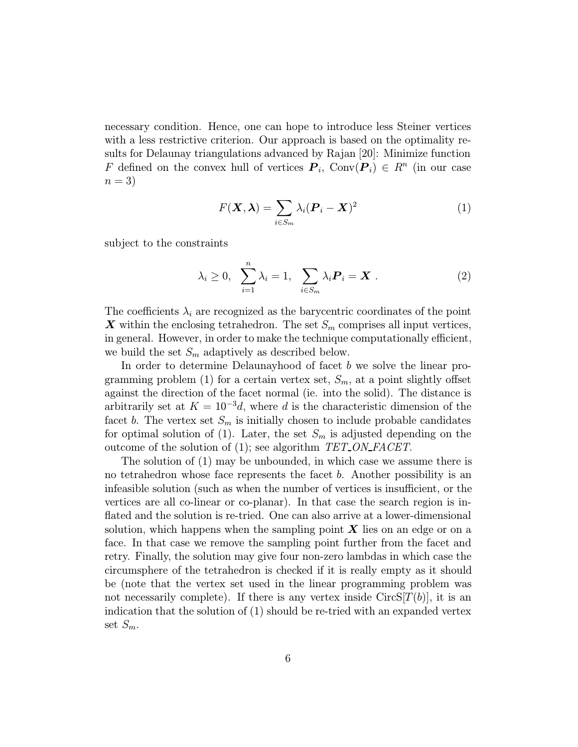necessary condition. Hence, one can hope to introduce less Steiner vertices with a less restrictive criterion. Our approach is based on the optimality results for Delaunay triangulations advanced by Rajan [20]: Minimize function F defined on the convex hull of vertices  $P_i$ , Conv $(P_i) \in R^n$  (in our case  $n=3$ 

$$
F(\mathbf{X}, \boldsymbol{\lambda}) = \sum_{i \in S_m} \lambda_i (\boldsymbol{P}_i - \mathbf{X})^2
$$
 (1)

subject to the constraints

$$
\lambda_i \geq 0, \quad \sum_{i=1}^n \lambda_i = 1, \quad \sum_{i \in S_m} \lambda_i \mathbf{P}_i = \mathbf{X} \ . \tag{2}
$$

The coefficients  $\lambda_i$  are recognized as the barycentric coordinates of the point X within the enclosing tetrahedron. The set  $S_m$  comprises all input vertices, in general. However, in order to make the technique computationally efficient, we build the set  $S_m$  adaptively as described below.

In order to determine Delaunayhood of facet b we solve the linear programming problem (1) for a certain vertex set,  $S_m$ , at a point slightly offset against the direction of the facet normal (ie. into the solid). The distance is arbitrarily set at  $K = 10^{-3}d$ , where d is the characteristic dimension of the facet b. The vertex set  $S_m$  is initially chosen to include probable candidates for optimal solution of (1). Later, the set  $S_m$  is adjusted depending on the outcome of the solution of (1); see algorithm TET ON FACET.

The solution of (1) may be unbounded, in which case we assume there is no tetrahedron whose face represents the facet b. Another possibility is an infeasible solution (such as when the number of vertices is insufficient, or the vertices are all co-linear or co-planar). In that case the search region is inflated and the solution is re-tried. One can also arrive at a lower-dimensional solution, which happens when the sampling point  $\boldsymbol{X}$  lies on an edge or on a face. In that case we remove the sampling point further from the facet and retry. Finally, the solution may give four non-zero lambdas in which case the circumsphere of the tetrahedron is checked if it is really empty as it should be (note that the vertex set used in the linear programming problem was not necessarily complete). If there is any vertex inside  $CircS[T(b)]$ , it is an indication that the solution of (1) should be re-tried with an expanded vertex set  $S_m$ .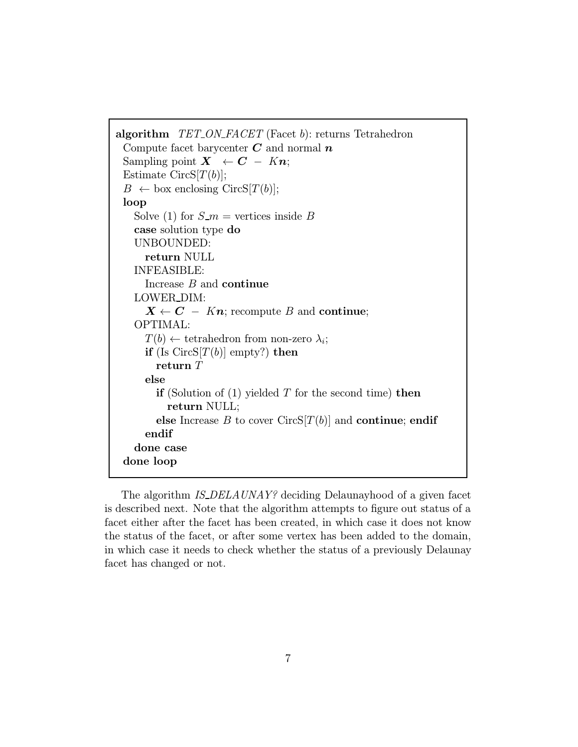```
algorithm TET\_ON\_FACT (Facet b): returns Tetrahedron
Compute facet barycenter C and normal nSampling point X \leftarrow C - Kn;Estimate CircS[T(b)];B \leftarrow box enclosing CircS[T(b)];
loop
  Solve (1) for S_{-m} = vertices inside B
  case solution type do
  UNBOUNDED:
    return NULL
  INFEASIBLE:
    Increase B and continue
  LOWER DIM:
    X \leftarrow C - Kn; recompute B and continue;
  OPTIMAL:
    T(b) \leftarrow tetrahedron from non-zero \lambda_i;
    if (Is CircS[T(b)] empty?) then
       return T
    else
       if (Solution of (1) yielded T for the second time) then
         return NULL;
       else Increase B to cover CircS[T(b)] and continue; endif
    endif
  done case
done loop
```
The algorithm IS\_DELAUNAY? deciding Delaunayhood of a given facet is described next. Note that the algorithm attempts to figure out status of a facet either after the facet has been created, in which case it does not know the status of the facet, or after some vertex has been added to the domain, in which case it needs to check whether the status of a previously Delaunay facet has changed or not.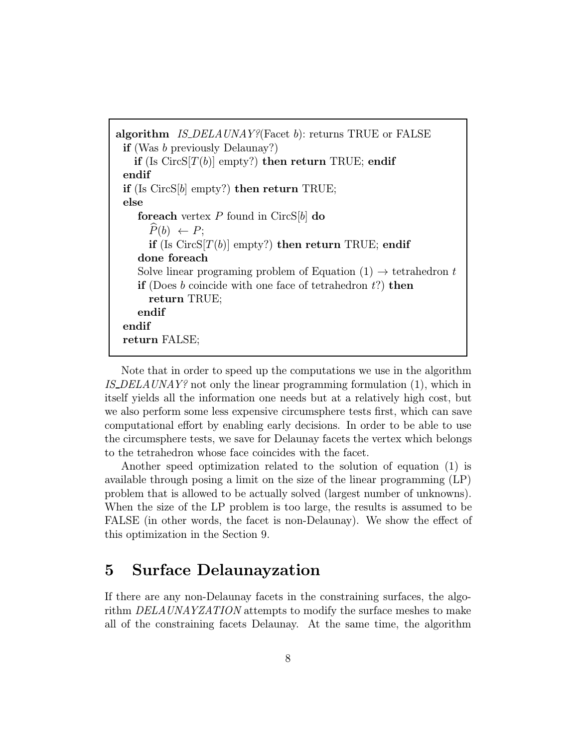algorithm *IS\_DELAUNAY?*(Facet b): returns TRUE or FALSE if (Was b previously Delaunay?) if (Is  $CircS[T(b)]$  empty?) then return TRUE; endif endif if (Is  $CircS[b]$  empty?) then return TRUE; else foreach vertex  $P$  found in CircS[b] do  $\widehat{P}(b) \leftarrow P$ ; if (Is  $CircS[T(b)]$  empty?) then return TRUE; endif done foreach Solve linear programing problem of Equation  $(1) \rightarrow$  tetrahedron t **if** (Does b coincide with one face of tetrahedron  $t$ ?) then return TRUE; endif endif return FALSE;

Note that in order to speed up the computations we use in the algorithm IS\_DELAUNAY? not only the linear programming formulation  $(1)$ , which in itself yields all the information one needs but at a relatively high cost, but we also perform some less expensive circumsphere tests first, which can save computational effort by enabling early decisions. In order to be able to use the circumsphere tests, we save for Delaunay facets the vertex which belongs to the tetrahedron whose face coincides with the facet.

Another speed optimization related to the solution of equation (1) is available through posing a limit on the size of the linear programming (LP) problem that is allowed to be actually solved (largest number of unknowns). When the size of the LP problem is too large, the results is assumed to be FALSE (in other words, the facet is non-Delaunay). We show the effect of this optimization in the Section 9.

### 5 Surface Delaunayzation

If there are any non-Delaunay facets in the constraining surfaces, the algorithm DELAUNAYZATION attempts to modify the surface meshes to make all of the constraining facets Delaunay. At the same time, the algorithm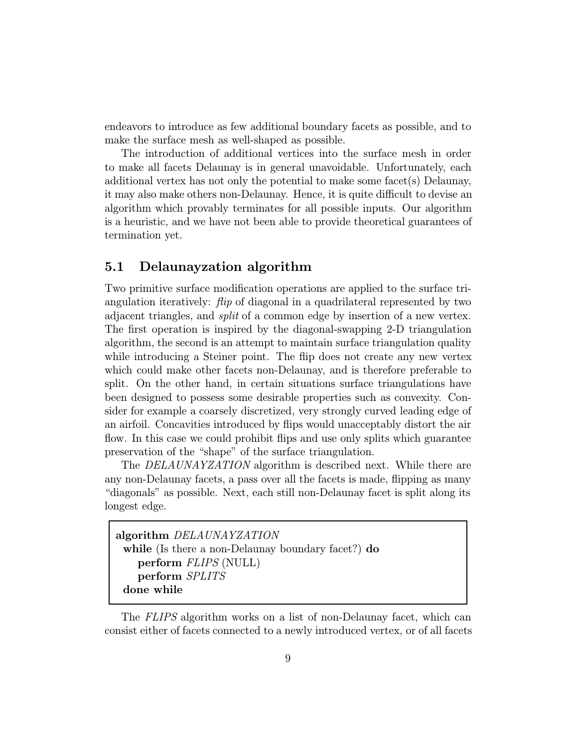endeavors to introduce as few additional boundary facets as possible, and to make the surface mesh as well-shaped as possible.

The introduction of additional vertices into the surface mesh in order to make all facets Delaunay is in general unavoidable. Unfortunately, each additional vertex has not only the potential to make some facet(s) Delaunay, it may also make others non-Delaunay. Hence, it is quite difficult to devise an algorithm which provably terminates for all possible inputs. Our algorithm is a heuristic, and we have not been able to provide theoretical guarantees of termination yet.

#### 5.1 Delaunayzation algorithm

Two primitive surface modification operations are applied to the surface triangulation iteratively: *flip* of diagonal in a quadrilateral represented by two adjacent triangles, and split of a common edge by insertion of a new vertex. The first operation is inspired by the diagonal-swapping 2-D triangulation algorithm, the second is an attempt to maintain surface triangulation quality while introducing a Steiner point. The flip does not create any new vertex which could make other facets non-Delaunay, and is therefore preferable to split. On the other hand, in certain situations surface triangulations have been designed to possess some desirable properties such as convexity. Consider for example a coarsely discretized, very strongly curved leading edge of an airfoil. Concavities introduced by flips would unacceptably distort the air flow. In this case we could prohibit flips and use only splits which guarantee preservation of the "shape" of the surface triangulation.

The *DELAUNAYZATION* algorithm is described next. While there are any non-Delaunay facets, a pass over all the facets is made, flipping as many "diagonals" as possible. Next, each still non-Delaunay facet is split along its longest edge.

```
algorithm DELAUNAYZATION
while (Is there a non-Delaunay boundary facet?) do
  perform FLIPS (NULL)
  perform SPLITS
done while
```
The FLIPS algorithm works on a list of non-Delaunay facet, which can consist either of facets connected to a newly introduced vertex, or of all facets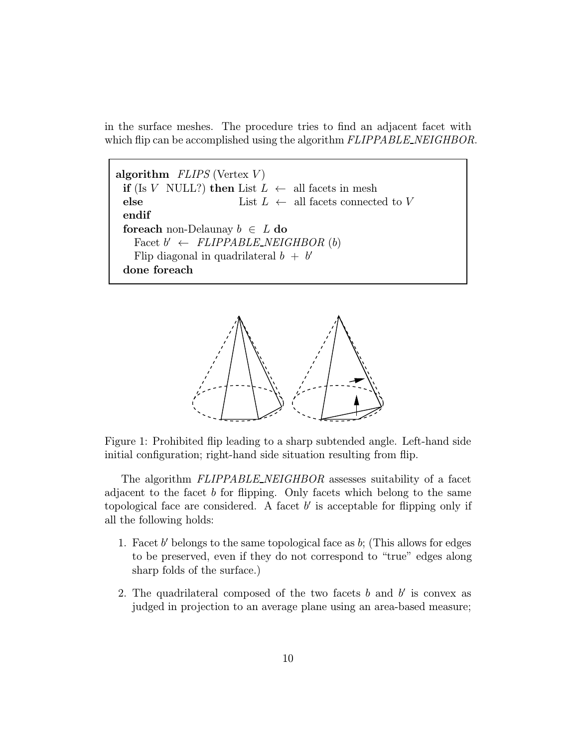in the surface meshes. The procedure tries to find an adjacent facet with which flip can be accomplished using the algorithm  $FLIPPABLE\_NEIGHBOR$ .

algorithm  $FLIPS$  (Vertex  $V$ ) if (Is V NULL?) then List  $L \leftarrow$  all facets in mesh else List  $L \leftarrow$  all facets connected to V endif foreach non-Delaunay  $b \in L$  do Facet  $b' \leftarrow FLIPPABLE_NEIGHBOR (b)$ Flip diagonal in quadrilateral  $b + b'$ done foreach



Figure 1: Prohibited flip leading to a sharp subtended angle. Left-hand side initial configuration; right-hand side situation resulting from flip.

The algorithm FLIPPABLE\_NEIGHBOR assesses suitability of a facet adjacent to the facet b for flipping. Only facets which belong to the same topological face are considered. A facet  $b'$  is acceptable for flipping only if all the following holds:

- 1. Facet b' belongs to the same topological face as b; (This allows for edges to be preserved, even if they do not correspond to "true" edges along sharp folds of the surface.)
- 2. The quadrilateral composed of the two facets b and b is convex as judged in projection to an average plane using an area-based measure;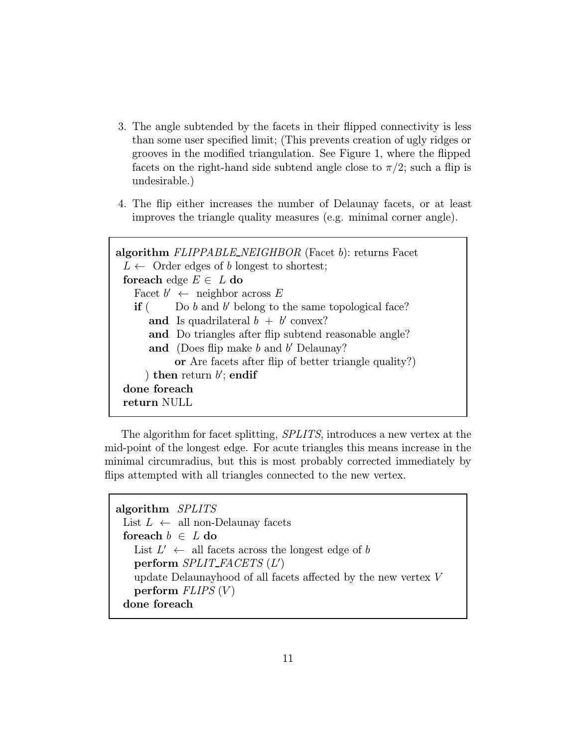- 3. The angle subtended by the facets in their flipped connectivity is less than some user specified limit; (This prevents creation of ugly ridges or grooves in the modified triangulation. See Figure 1, where the flipped facets on the right-hand side subtend angle close to  $\pi/2$ ; such a flip is undesirable.)
- 4. The flip either increases the number of Delaunay facets, or at least improves the triangle quality measures (e.g. minimal corner angle).

```
algorithm FLIPPABLE_NEIGHBOR (Facet b): returns Facet
L \leftarrow Order edges of b longest to shortest;
for each edge E \in L do
  Facet b' \leftarrow neighbor across E
  if ( Do b and b' belong to the same topological face?
     and Is quadrilateral b + b' convex?
     and Do triangles after flip subtend reasonable angle?
     and (Does flip make b and b' Delaunay?)
          or Are facets after flip of better triangle quality?)
     ) then return b'; endif
done foreach
return NULL
```
The algorithm for facet splitting, SPLITS, introduces a new vertex at the mid-point of the longest edge. For acute triangles this means increase in the minimal circumradius, but this is most probably corrected immediately by flips attempted with all triangles connected to the new vertex.

```
algorithm SPLITS
List L ← all non-Delaunay facets
foreach b \in L do
  List L' \leftarrow all facets across the longest edge of b
   \mathbf{perform}\ \textit{SPLIT\_FACETS}\ (L')update Delaunayhood of all facets affected by the new vertex V
  perform FLIPS (V)done foreach
```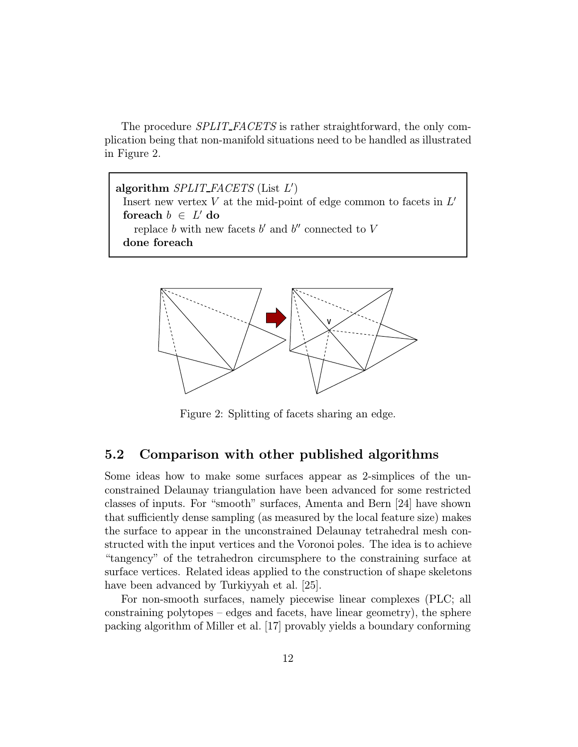The procedure *SPLIT\_FACETS* is rather straightforward, the only complication being that non-manifold situations need to be handled as illustrated in Figure 2.

algorithm  $SPLIT\_FACETS$  (List  $L'$ ) Insert new vertex  $V$  at the mid-point of edge common to facets in  $L'$ foreach  $b \in L'$  do replace b with new facets b' and b'' connected to  $V$ done foreach



Figure 2: Splitting of facets sharing an edge.

#### 5.2 Comparison with other published algorithms

Some ideas how to make some surfaces appear as 2-simplices of the unconstrained Delaunay triangulation have been advanced for some restricted classes of inputs. For "smooth" surfaces, Amenta and Bern [24] have shown that sufficiently dense sampling (as measured by the local feature size) makes the surface to appear in the unconstrained Delaunay tetrahedral mesh constructed with the input vertices and the Voronoi poles. The idea is to achieve "tangency" of the tetrahedron circumsphere to the constraining surface at surface vertices. Related ideas applied to the construction of shape skeletons have been advanced by Turkiyyah et al. [25].

For non-smooth surfaces, namely piecewise linear complexes (PLC; all constraining polytopes – edges and facets, have linear geometry), the sphere packing algorithm of Miller et al. [17] provably yields a boundary conforming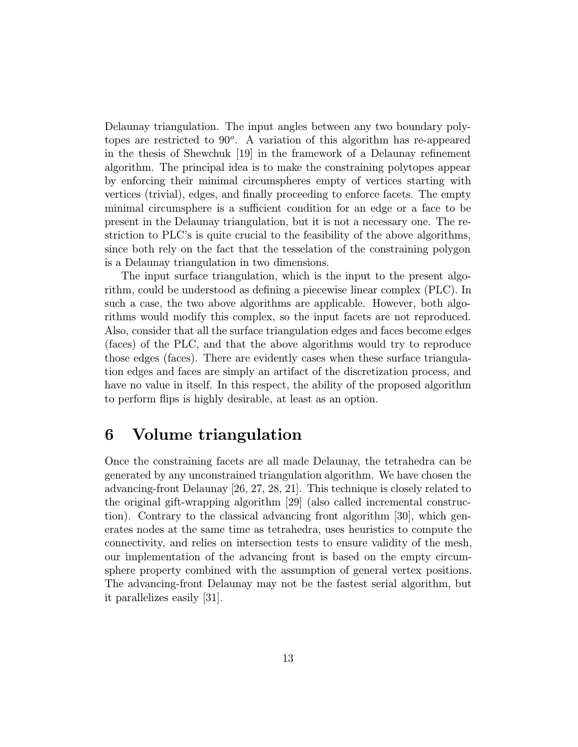Delaunay triangulation. The input angles between any two boundary polytopes are restricted to  $90^\circ$ . A variation of this algorithm has re-appeared in the thesis of Shewchuk [19] in the framework of a Delaunay refinement algorithm. The principal idea is to make the constraining polytopes appear by enforcing their minimal circumspheres empty of vertices starting with vertices (trivial), edges, and finally proceeding to enforce facets. The empty minimal circumsphere is a sufficient condition for an edge or a face to be present in the Delaunay triangulation, but it is not a necessary one. The restriction to PLC's is quite crucial to the feasibility of the above algorithms, since both rely on the fact that the tesselation of the constraining polygon is a Delaunay triangulation in two dimensions.

The input surface triangulation, which is the input to the present algorithm, could be understood as defining a piecewise linear complex (PLC). In such a case, the two above algorithms are applicable. However, both algorithms would modify this complex, so the input facets are not reproduced. Also, consider that all the surface triangulation edges and faces become edges (faces) of the PLC, and that the above algorithms would try to reproduce those edges (faces). There are evidently cases when these surface triangulation edges and faces are simply an artifact of the discretization process, and have no value in itself. In this respect, the ability of the proposed algorithm to perform flips is highly desirable, at least as an option.

### 6 Volume triangulation

Once the constraining facets are all made Delaunay, the tetrahedra can be generated by any unconstrained triangulation algorithm. We have chosen the advancing-front Delaunay [26, 27, 28, 21]. This technique is closely related to the original gift-wrapping algorithm [29] (also called incremental construction). Contrary to the classical advancing front algorithm [30], which generates nodes at the same time as tetrahedra, uses heuristics to compute the connectivity, and relies on intersection tests to ensure validity of the mesh, our implementation of the advancing front is based on the empty circumsphere property combined with the assumption of general vertex positions. The advancing-front Delaunay may not be the fastest serial algorithm, but it parallelizes easily [31].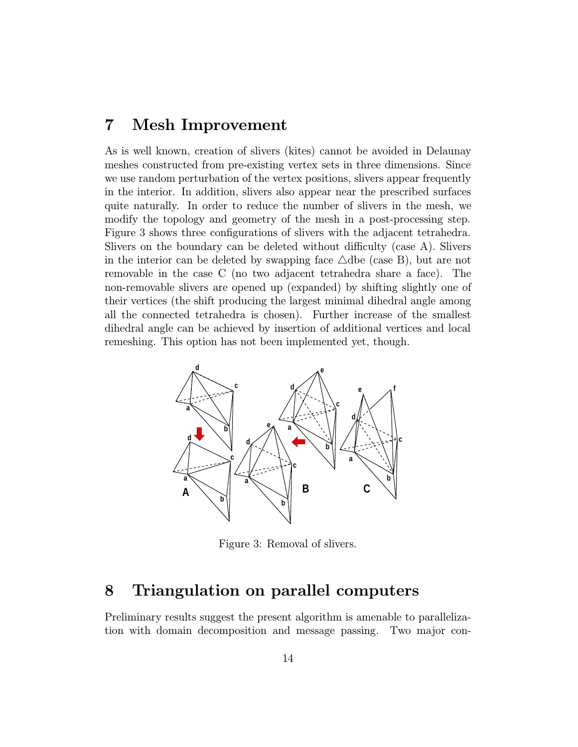### 7 Mesh Improvement

As is well known, creation of slivers (kites) cannot be avoided in Delaunay meshes constructed from pre-existing vertex sets in three dimensions. Since we use random perturbation of the vertex positions, slivers appear frequently in the interior. In addition, slivers also appear near the prescribed surfaces quite naturally. In order to reduce the number of slivers in the mesh, we modify the topology and geometry of the mesh in a post-processing step. Figure 3 shows three configurations of slivers with the adjacent tetrahedra. Slivers on the boundary can be deleted without difficulty (case A). Slivers in the interior can be deleted by swapping face  $\triangle$ dbe (case B), but are not removable in the case C (no two adjacent tetrahedra share a face). The non-removable slivers are opened up (expanded) by shifting slightly one of their vertices (the shift producing the largest minimal dihedral angle among all the connected tetrahedra is chosen). Further increase of the smallest dihedral angle can be achieved by insertion of additional vertices and local remeshing. This option has not been implemented yet, though.



Figure 3: Removal of slivers.

### 8 Triangulation on parallel computers

Preliminary results suggest the present algorithm is amenable to parallelization with domain decomposition and message passing. Two major con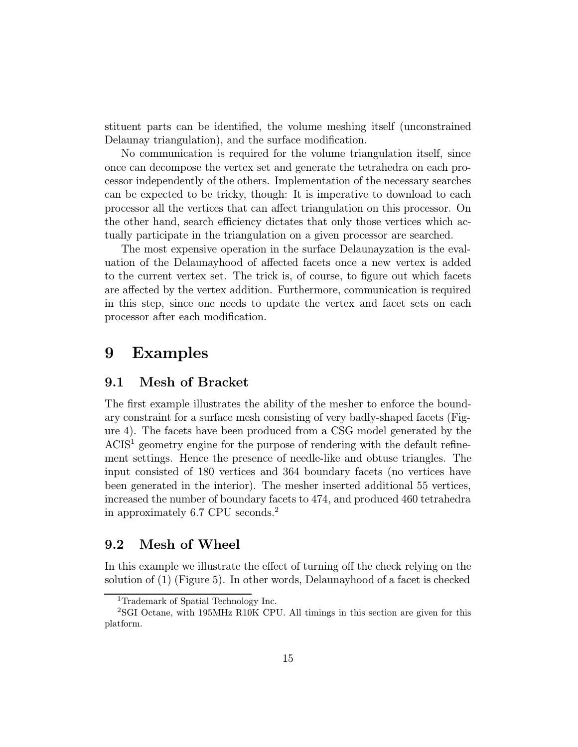stituent parts can be identified, the volume meshing itself (unconstrained Delaunay triangulation), and the surface modification.

No communication is required for the volume triangulation itself, since once can decompose the vertex set and generate the tetrahedra on each processor independently of the others. Implementation of the necessary searches can be expected to be tricky, though: It is imperative to download to each processor all the vertices that can affect triangulation on this processor. On the other hand, search efficiency dictates that only those vertices which actually participate in the triangulation on a given processor are searched.

The most expensive operation in the surface Delaunayzation is the evaluation of the Delaunayhood of affected facets once a new vertex is added to the current vertex set. The trick is, of course, to figure out which facets are affected by the vertex addition. Furthermore, communication is required in this step, since one needs to update the vertex and facet sets on each processor after each modification.

### 9 Examples

#### 9.1 Mesh of Bracket

The first example illustrates the ability of the mesher to enforce the boundary constraint for a surface mesh consisting of very badly-shaped facets (Figure 4). The facets have been produced from a CSG model generated by the ACIS<sup>1</sup> geometry engine for the purpose of rendering with the default refinement settings. Hence the presence of needle-like and obtuse triangles. The input consisted of 180 vertices and 364 boundary facets (no vertices have been generated in the interior). The mesher inserted additional 55 vertices, increased the number of boundary facets to 474, and produced 460 tetrahedra in approximately 6.7 CPU seconds.<sup>2</sup>

#### 9.2 Mesh of Wheel

In this example we illustrate the effect of turning off the check relying on the solution of (1) (Figure 5). In other words, Delaunayhood of a facet is checked

<sup>1</sup>Trademark of Spatial Technology Inc.

<sup>2</sup>SGI Octane, with 195MHz R10K CPU. All timings in this section are given for this platform.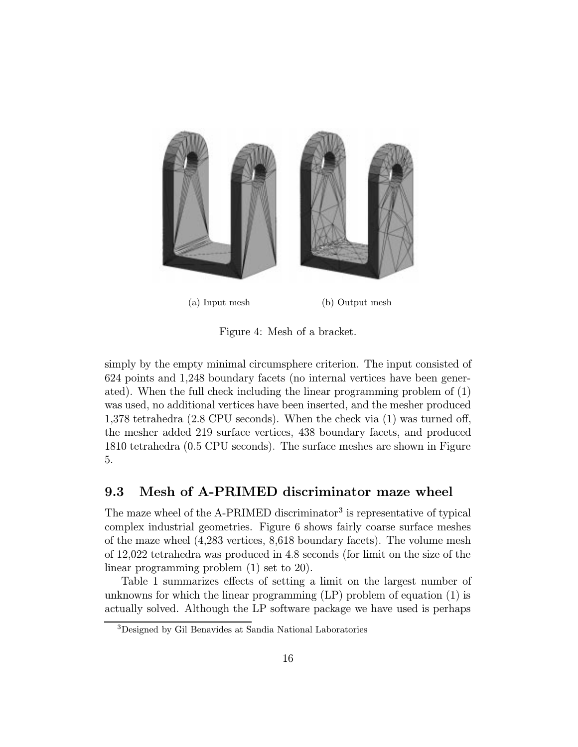

Figure 4: Mesh of a bracket.

simply by the empty minimal circumsphere criterion. The input consisted of 624 points and 1,248 boundary facets (no internal vertices have been generated). When the full check including the linear programming problem of (1) was used, no additional vertices have been inserted, and the mesher produced 1,378 tetrahedra (2.8 CPU seconds). When the check via (1) was turned off, the mesher added 219 surface vertices, 438 boundary facets, and produced 1810 tetrahedra (0.5 CPU seconds). The surface meshes are shown in Figure 5.

#### 9.3 Mesh of A-PRIMED discriminator maze wheel

The maze wheel of the A-PRIMED discriminator<sup>3</sup> is representative of typical complex industrial geometries. Figure 6 shows fairly coarse surface meshes of the maze wheel (4,283 vertices, 8,618 boundary facets). The volume mesh of 12,022 tetrahedra was produced in 4.8 seconds (for limit on the size of the linear programming problem (1) set to 20).

Table 1 summarizes effects of setting a limit on the largest number of unknowns for which the linear programming (LP) problem of equation (1) is actually solved. Although the LP software package we have used is perhaps

<sup>3</sup>Designed by Gil Benavides at Sandia National Laboratories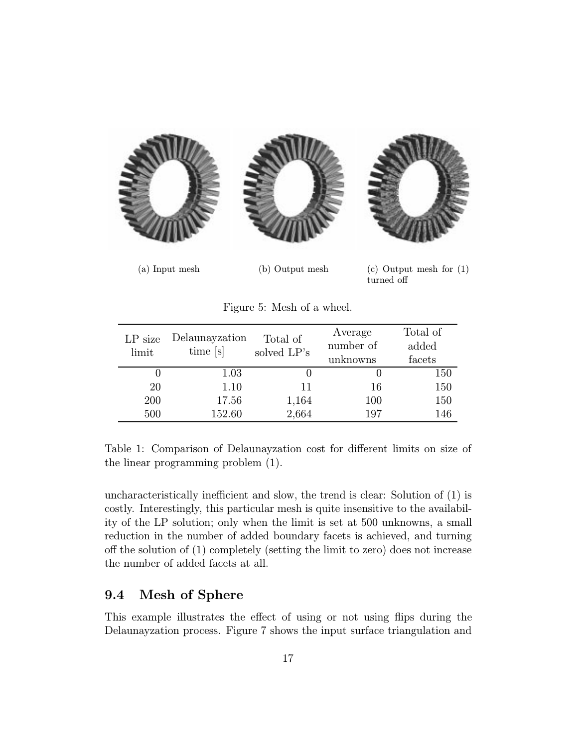

(a) Input mesh (b) Output mesh (c) Output mesh for (1) turned off

| $LP$ size<br>limit | Delaunayzation<br>time [s] | Total of<br>solved LP's | Average<br>number of<br>unknowns | Total of<br>added<br>facets |
|--------------------|----------------------------|-------------------------|----------------------------------|-----------------------------|
|                    | 1.03                       |                         |                                  | 150                         |
| 20                 | 1.10                       |                         | 16                               | 150                         |
| 200                | 17.56                      | 1,164                   | 100                              | 150                         |
| 500                | 152.60                     | 2,664                   | 197                              | 146                         |

Figure 5: Mesh of a wheel.

Table 1: Comparison of Delaunayzation cost for different limits on size of the linear programming problem (1).

uncharacteristically inefficient and slow, the trend is clear: Solution of (1) is costly. Interestingly, this particular mesh is quite insensitive to the availability of the LP solution; only when the limit is set at 500 unknowns, a small reduction in the number of added boundary facets is achieved, and turning off the solution of (1) completely (setting the limit to zero) does not increase the number of added facets at all.

#### 9.4 Mesh of Sphere

This example illustrates the effect of using or not using flips during the Delaunayzation process. Figure 7 shows the input surface triangulation and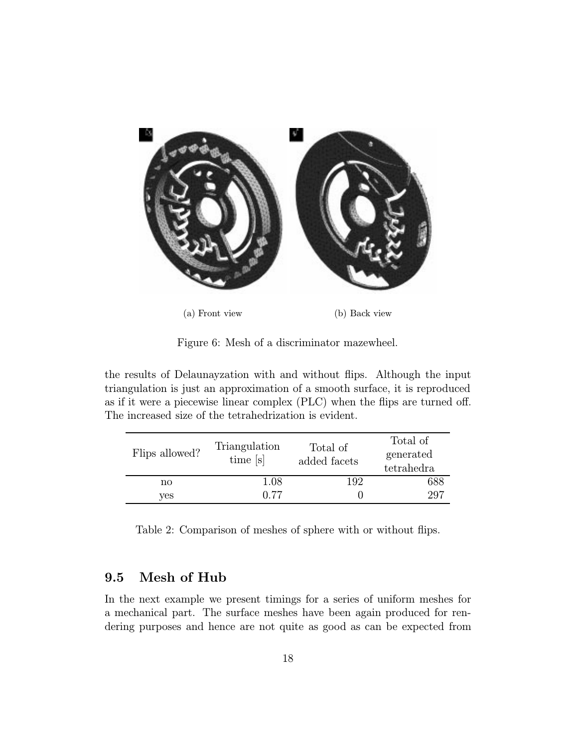

(a) Front view (b) Back view

Figure 6: Mesh of a discriminator mazewheel.

the results of Delaunayzation with and without flips. Although the input triangulation is just an approximation of a smooth surface, it is reproduced as if it were a piecewise linear complex (PLC) when the flips are turned off. The increased size of the tetrahedrization is evident.

| Flips allowed? | Triangulation<br>time [s] | Total of<br>added facets | Total of<br>generated<br>tetrahedra |
|----------------|---------------------------|--------------------------|-------------------------------------|
| no             | 1.08                      | 192                      | 688                                 |
| ves            | 0.77                      |                          | 297                                 |

Table 2: Comparison of meshes of sphere with or without flips.

### 9.5 Mesh of Hub

In the next example we present timings for a series of uniform meshes for a mechanical part. The surface meshes have been again produced for rendering purposes and hence are not quite as good as can be expected from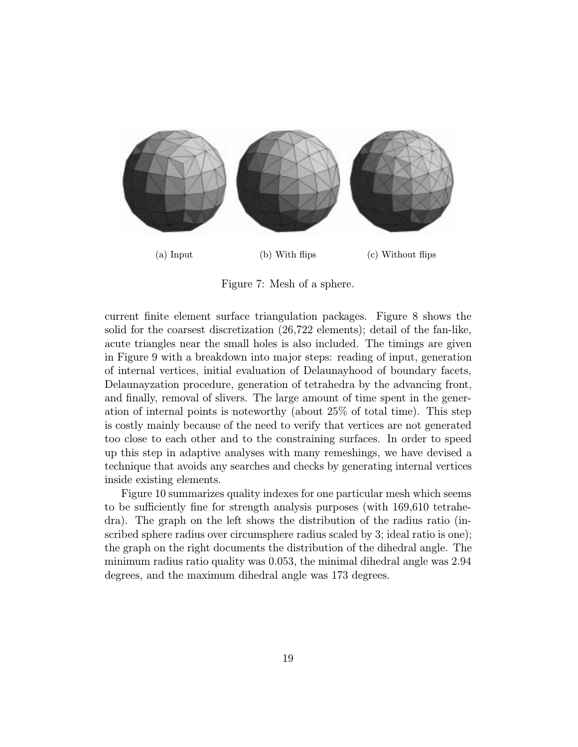

Figure 7: Mesh of a sphere.

current finite element surface triangulation packages. Figure 8 shows the solid for the coarsest discretization (26,722 elements); detail of the fan-like, acute triangles near the small holes is also included. The timings are given in Figure 9 with a breakdown into major steps: reading of input, generation of internal vertices, initial evaluation of Delaunayhood of boundary facets, Delaunayzation procedure, generation of tetrahedra by the advancing front, and finally, removal of slivers. The large amount of time spent in the generation of internal points is noteworthy (about 25% of total time). This step is costly mainly because of the need to verify that vertices are not generated too close to each other and to the constraining surfaces. In order to speed up this step in adaptive analyses with many remeshings, we have devised a technique that avoids any searches and checks by generating internal vertices inside existing elements.

Figure 10 summarizes quality indexes for one particular mesh which seems to be sufficiently fine for strength analysis purposes (with 169,610 tetrahedra). The graph on the left shows the distribution of the radius ratio (inscribed sphere radius over circumsphere radius scaled by 3; ideal ratio is one); the graph on the right documents the distribution of the dihedral angle. The minimum radius ratio quality was 0.053, the minimal dihedral angle was 2.94 degrees, and the maximum dihedral angle was 173 degrees.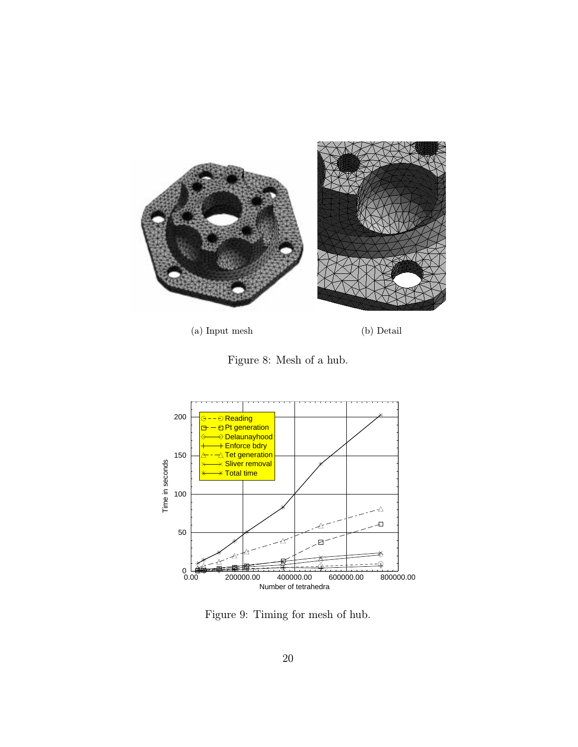

(a) Input mesh (b) Detail





Figure 9: Timing for mesh of hub.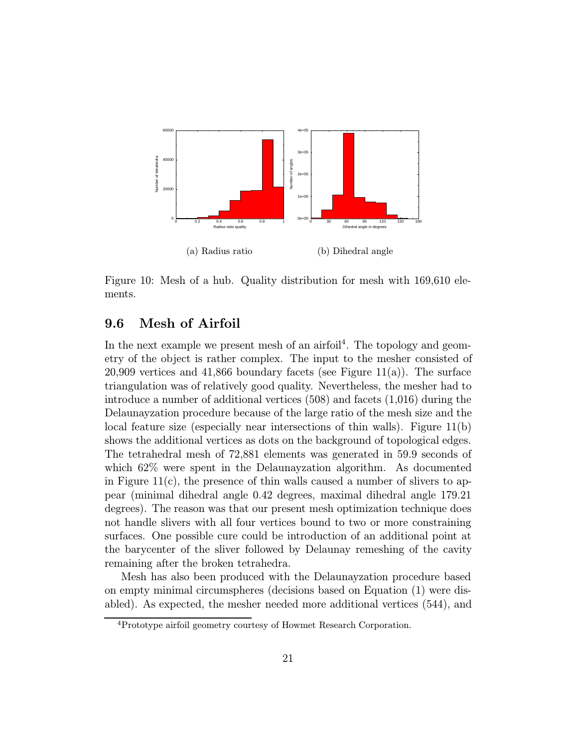

Figure 10: Mesh of a hub. Quality distribution for mesh with 169,610 elements.

### 9.6 Mesh of Airfoil

In the next example we present mesh of an airfoil<sup>4</sup>. The topology and geometry of the object is rather complex. The input to the mesher consisted of 20,909 vertices and 41,866 boundary facets (see Figure 11(a)). The surface triangulation was of relatively good quality. Nevertheless, the mesher had to introduce a number of additional vertices (508) and facets (1,016) during the Delaunayzation procedure because of the large ratio of the mesh size and the local feature size (especially near intersections of thin walls). Figure 11(b) shows the additional vertices as dots on the background of topological edges. The tetrahedral mesh of 72,881 elements was generated in 59.9 seconds of which 62% were spent in the Delaunayzation algorithm. As documented in Figure  $11(c)$ , the presence of thin walls caused a number of slivers to appear (minimal dihedral angle 0.42 degrees, maximal dihedral angle 179.21 degrees). The reason was that our present mesh optimization technique does not handle slivers with all four vertices bound to two or more constraining surfaces. One possible cure could be introduction of an additional point at the barycenter of the sliver followed by Delaunay remeshing of the cavity remaining after the broken tetrahedra.

Mesh has also been produced with the Delaunayzation procedure based on empty minimal circumspheres (decisions based on Equation (1) were disabled). As expected, the mesher needed more additional vertices (544), and

<sup>4</sup>Prototype airfoil geometry courtesy of Howmet Research Corporation.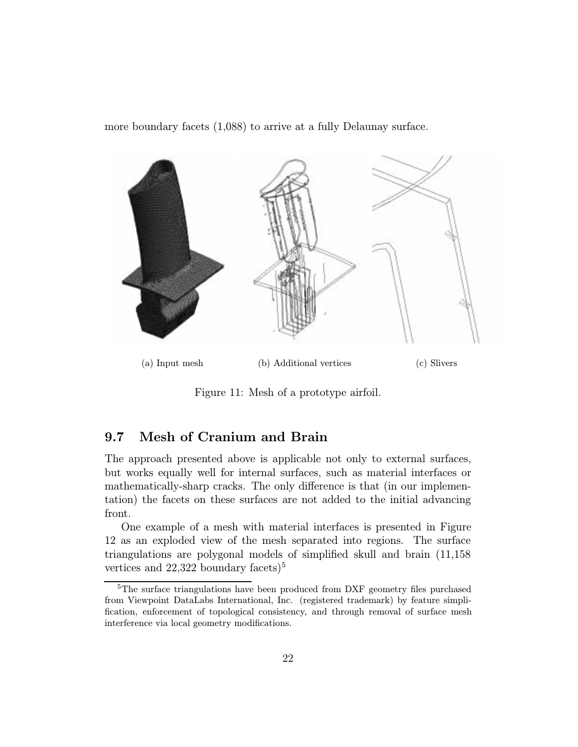more boundary facets (1,088) to arrive at a fully Delaunay surface.



Figure 11: Mesh of a prototype airfoil.

### 9.7 Mesh of Cranium and Brain

The approach presented above is applicable not only to external surfaces, but works equally well for internal surfaces, such as material interfaces or mathematically-sharp cracks. The only difference is that (in our implementation) the facets on these surfaces are not added to the initial advancing front.

One example of a mesh with material interfaces is presented in Figure 12 as an exploded view of the mesh separated into regions. The surface triangulations are polygonal models of simplified skull and brain (11,158 vertices and  $22,322$  boundary facets)<sup>5</sup>

<sup>5</sup>The surface triangulations have been produced from DXF geometry files purchased from Viewpoint DataLabs International, Inc. (registered trademark) by feature simplification, enforcement of topological consistency, and through removal of surface mesh interference via local geometry modifications.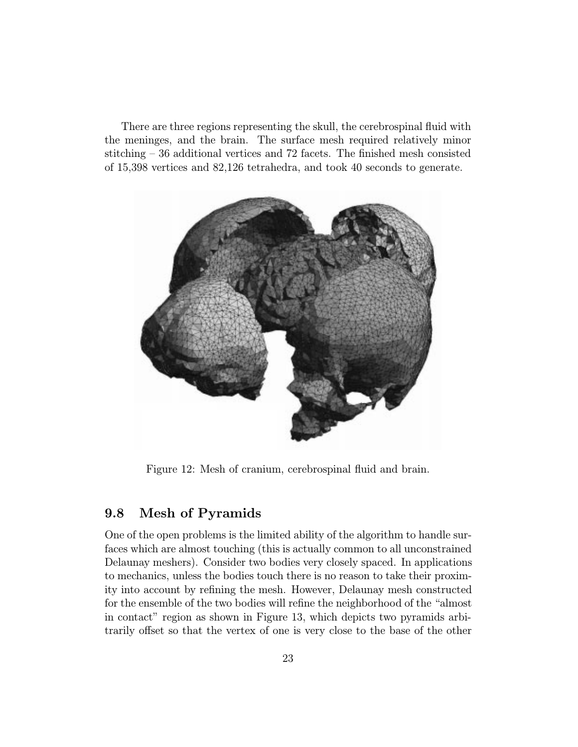There are three regions representing the skull, the cerebrospinal fluid with the meninges, and the brain. The surface mesh required relatively minor stitching – 36 additional vertices and 72 facets. The finished mesh consisted of 15,398 vertices and 82,126 tetrahedra, and took 40 seconds to generate.



Figure 12: Mesh of cranium, cerebrospinal fluid and brain.

#### 9.8 Mesh of Pyramids

One of the open problems is the limited ability of the algorithm to handle surfaces which are almost touching (this is actually common to all unconstrained Delaunay meshers). Consider two bodies very closely spaced. In applications to mechanics, unless the bodies touch there is no reason to take their proximity into account by refining the mesh. However, Delaunay mesh constructed for the ensemble of the two bodies will refine the neighborhood of the "almost in contact" region as shown in Figure 13, which depicts two pyramids arbitrarily offset so that the vertex of one is very close to the base of the other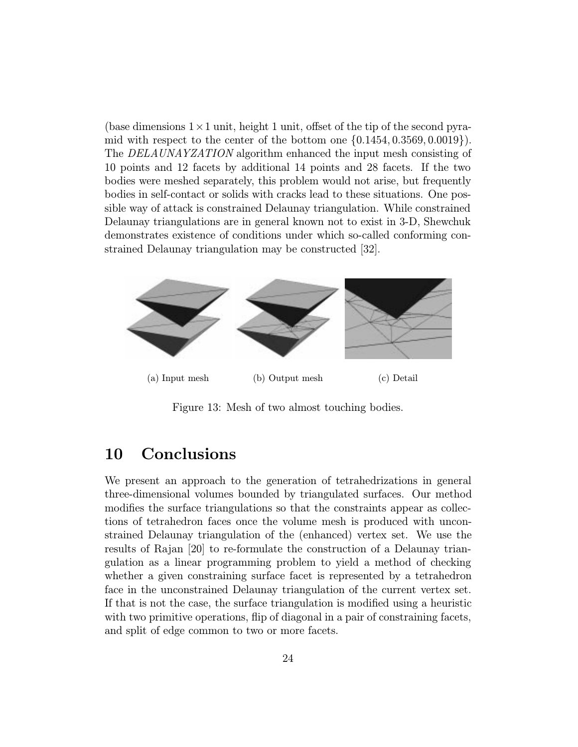(base dimensions  $1 \times 1$  unit, height 1 unit, offset of the tip of the second pyramid with respect to the center of the bottom one  $\{0.1454, 0.3569, 0.0019\}$ . The DELAUNAYZATION algorithm enhanced the input mesh consisting of 10 points and 12 facets by additional 14 points and 28 facets. If the two bodies were meshed separately, this problem would not arise, but frequently bodies in self-contact or solids with cracks lead to these situations. One possible way of attack is constrained Delaunay triangulation. While constrained Delaunay triangulations are in general known not to exist in 3-D, Shewchuk demonstrates existence of conditions under which so-called conforming constrained Delaunay triangulation may be constructed [32].



Figure 13: Mesh of two almost touching bodies.

# 10 Conclusions

We present an approach to the generation of tetrahedrizations in general three-dimensional volumes bounded by triangulated surfaces. Our method modifies the surface triangulations so that the constraints appear as collections of tetrahedron faces once the volume mesh is produced with unconstrained Delaunay triangulation of the (enhanced) vertex set. We use the results of Rajan [20] to re-formulate the construction of a Delaunay triangulation as a linear programming problem to yield a method of checking whether a given constraining surface facet is represented by a tetrahedron face in the unconstrained Delaunay triangulation of the current vertex set. If that is not the case, the surface triangulation is modified using a heuristic with two primitive operations, flip of diagonal in a pair of constraining facets, and split of edge common to two or more facets.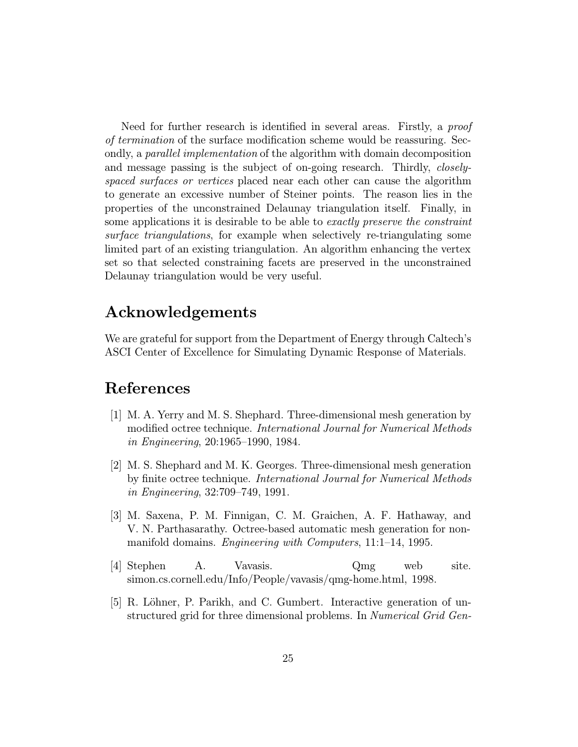Need for further research is identified in several areas. Firstly, a *proof* of termination of the surface modification scheme would be reassuring. Secondly, a parallel implementation of the algorithm with domain decomposition and message passing is the subject of on-going research. Thirdly, *closely*spaced surfaces or vertices placed near each other can cause the algorithm to generate an excessive number of Steiner points. The reason lies in the properties of the unconstrained Delaunay triangulation itself. Finally, in some applications it is desirable to be able to exactly preserve the constraint surface triangulations, for example when selectively re-triangulating some limited part of an existing triangulation. An algorithm enhancing the vertex set so that selected constraining facets are preserved in the unconstrained Delaunay triangulation would be very useful.

# Acknowledgements

We are grateful for support from the Department of Energy through Caltech's ASCI Center of Excellence for Simulating Dynamic Response of Materials.

# References

- [1] M. A. Yerry and M. S. Shephard. Three-dimensional mesh generation by modified octree technique. International Journal for Numerical Methods in Engineering, 20:1965–1990, 1984.
- [2] M. S. Shephard and M. K. Georges. Three-dimensional mesh generation by finite octree technique. International Journal for Numerical Methods in Engineering, 32:709–749, 1991.
- [3] M. Saxena, P. M. Finnigan, C. M. Graichen, A. F. Hathaway, and V. N. Parthasarathy. Octree-based automatic mesh generation for nonmanifold domains. Engineering with Computers, 11:1–14, 1995.
- [4] Stephen A. Vavasis. Qmg web site. simon.cs.cornell.edu/Info/People/vavasis/qmg-home.html, 1998.
- [5] R. Löhner, P. Parikh, and C. Gumbert. Interactive generation of unstructured grid for three dimensional problems. In Numerical Grid Gen-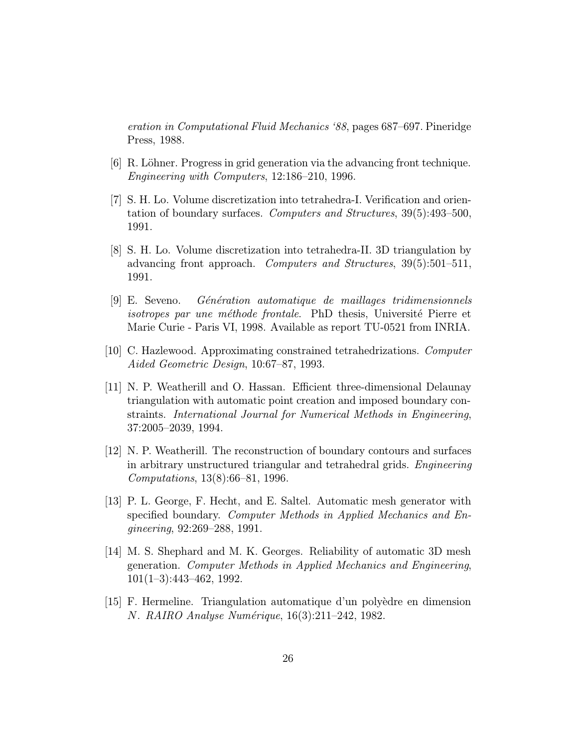eration in Computational Fluid Mechanics '88, pages 687–697. Pineridge Press, 1988.

- $|6|$  R. Löhner. Progress in grid generation via the advancing front technique. Engineering with Computers, 12:186–210, 1996.
- [7] S. H. Lo. Volume discretization into tetrahedra-I. Verification and orientation of boundary surfaces. Computers and Structures, 39(5):493–500, 1991.
- [8] S. H. Lo. Volume discretization into tetrahedra-II. 3D triangulation by advancing front approach. Computers and Structures, 39(5):501–511, 1991.
- $[9]$  E. Seveno. Génération automatique de maillages tridimensionnels isotropes par une méthode frontale. PhD thesis, Université Pierre et Marie Curie - Paris VI, 1998. Available as report TU-0521 from INRIA.
- [10] C. Hazlewood. Approximating constrained tetrahedrizations. Computer Aided Geometric Design, 10:67–87, 1993.
- [11] N. P. Weatherill and O. Hassan. Efficient three-dimensional Delaunay triangulation with automatic point creation and imposed boundary constraints. International Journal for Numerical Methods in Engineering, 37:2005–2039, 1994.
- [12] N. P. Weatherill. The reconstruction of boundary contours and surfaces in arbitrary unstructured triangular and tetrahedral grids. Engineering Computations, 13(8):66–81, 1996.
- [13] P. L. George, F. Hecht, and E. Saltel. Automatic mesh generator with specified boundary. Computer Methods in Applied Mechanics and Engineering, 92:269–288, 1991.
- [14] M. S. Shephard and M. K. Georges. Reliability of automatic 3D mesh generation. Computer Methods in Applied Mechanics and Engineering, 101(1–3):443–462, 1992.
- [15] F. Hermeline. Triangulation automatique d'un polyèdre en dimension N. RAIRO Analyse Numérique, 16(3):211–242, 1982.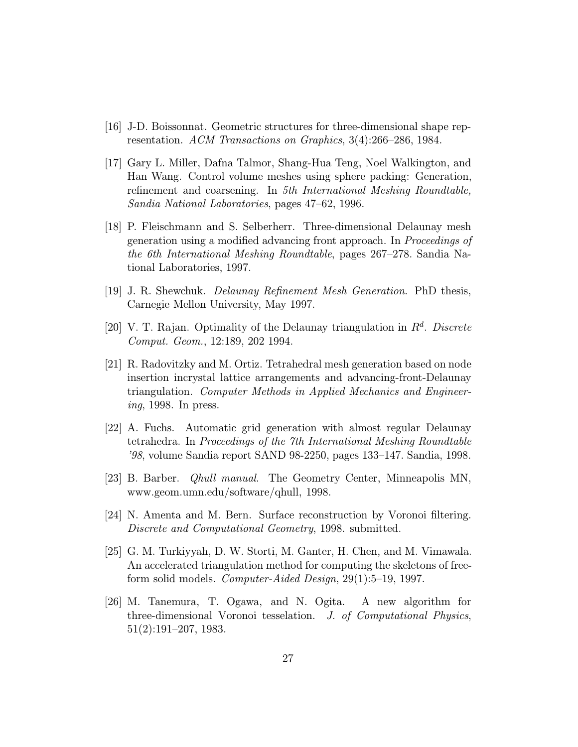- [16] J-D. Boissonnat. Geometric structures for three-dimensional shape representation. ACM Transactions on Graphics, 3(4):266–286, 1984.
- [17] Gary L. Miller, Dafna Talmor, Shang-Hua Teng, Noel Walkington, and Han Wang. Control volume meshes using sphere packing: Generation, refinement and coarsening. In 5th International Meshing Roundtable, Sandia National Laboratories, pages 47–62, 1996.
- [18] P. Fleischmann and S. Selberherr. Three-dimensional Delaunay mesh generation using a modified advancing front approach. In Proceedings of the 6th International Meshing Roundtable, pages 267–278. Sandia National Laboratories, 1997.
- [19] J. R. Shewchuk. Delaunay Refinement Mesh Generation. PhD thesis, Carnegie Mellon University, May 1997.
- [20] V. T. Rajan. Optimality of the Delaunay triangulation in  $R<sup>d</sup>$ . Discrete Comput. Geom., 12:189, 202 1994.
- [21] R. Radovitzky and M. Ortiz. Tetrahedral mesh generation based on node insertion incrystal lattice arrangements and advancing-front-Delaunay triangulation. Computer Methods in Applied Mechanics and Engineering, 1998. In press.
- [22] A. Fuchs. Automatic grid generation with almost regular Delaunay tetrahedra. In Proceedings of the 7th International Meshing Roundtable '98, volume Sandia report SAND 98-2250, pages 133–147. Sandia, 1998.
- [23] B. Barber. Qhull manual. The Geometry Center, Minneapolis MN, www.geom.umn.edu/software/qhull, 1998.
- [24] N. Amenta and M. Bern. Surface reconstruction by Voronoi filtering. Discrete and Computational Geometry, 1998. submitted.
- [25] G. M. Turkiyyah, D. W. Storti, M. Ganter, H. Chen, and M. Vimawala. An accelerated triangulation method for computing the skeletons of freeform solid models. Computer-Aided Design, 29(1):5–19, 1997.
- [26] M. Tanemura, T. Ogawa, and N. Ogita. A new algorithm for three-dimensional Voronoi tesselation. J. of Computational Physics, 51(2):191–207, 1983.